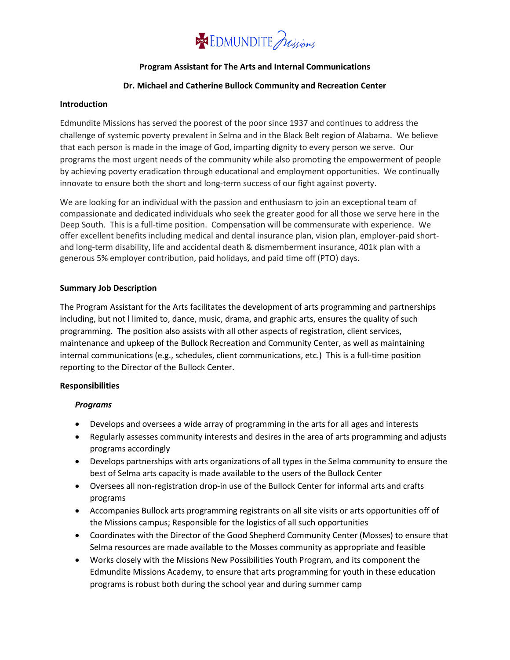## **SSE EDMUNDITE** Julyons

#### **Program Assistant for The Arts and Internal Communications**

#### **Dr. Michael and Catherine Bullock Community and Recreation Center**

#### **Introduction**

Edmundite Missions has served the poorest of the poor since 1937 and continues to address the challenge of systemic poverty prevalent in Selma and in the Black Belt region of Alabama. We believe that each person is made in the image of God, imparting dignity to every person we serve. Our programs the most urgent needs of the community while also promoting the empowerment of people by achieving poverty eradication through educational and employment opportunities. We continually innovate to ensure both the short and long-term success of our fight against poverty.

We are looking for an individual with the passion and enthusiasm to join an exceptional team of compassionate and dedicated individuals who seek the greater good for all those we serve here in the Deep South. This is a full-time position. Compensation will be commensurate with experience. We offer excellent benefits including medical and dental insurance plan, vision plan, employer-paid shortand long-term disability, life and accidental death & dismemberment insurance, 401k plan with a generous 5% employer contribution, paid holidays, and paid time off (PTO) days.

#### **Summary Job Description**

The Program Assistant for the Arts facilitates the development of arts programming and partnerships including, but not l limited to, dance, music, drama, and graphic arts, ensures the quality of such programming. The position also assists with all other aspects of registration, client services, maintenance and upkeep of the Bullock Recreation and Community Center, as well as maintaining internal communications (e.g., schedules, client communications, etc.) This is a full-time position reporting to the Director of the Bullock Center.

#### **Responsibilities**

#### *Programs*

- Develops and oversees a wide array of programming in the arts for all ages and interests
- Regularly assesses community interests and desires in the area of arts programming and adjusts programs accordingly
- Develops partnerships with arts organizations of all types in the Selma community to ensure the best of Selma arts capacity is made available to the users of the Bullock Center
- Oversees all non-registration drop-in use of the Bullock Center for informal arts and crafts programs
- Accompanies Bullock arts programming registrants on all site visits or arts opportunities off of the Missions campus; Responsible for the logistics of all such opportunities
- Coordinates with the Director of the Good Shepherd Community Center (Mosses) to ensure that Selma resources are made available to the Mosses community as appropriate and feasible
- Works closely with the Missions New Possibilities Youth Program, and its component the Edmundite Missions Academy, to ensure that arts programming for youth in these education programs is robust both during the school year and during summer camp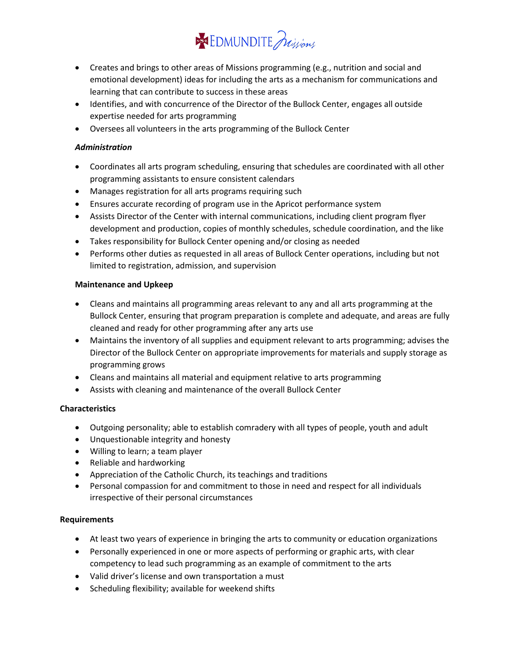# **SSEDMUNDITE** nijony

- Creates and brings to other areas of Missions programming (e.g., nutrition and social and emotional development) ideas for including the arts as a mechanism for communications and learning that can contribute to success in these areas
- Identifies, and with concurrence of the Director of the Bullock Center, engages all outside expertise needed for arts programming
- Oversees all volunteers in the arts programming of the Bullock Center

## *Administration*

- Coordinates all arts program scheduling, ensuring that schedules are coordinated with all other programming assistants to ensure consistent calendars
- Manages registration for all arts programs requiring such
- Ensures accurate recording of program use in the Apricot performance system
- Assists Director of the Center with internal communications, including client program flyer development and production, copies of monthly schedules, schedule coordination, and the like
- Takes responsibility for Bullock Center opening and/or closing as needed
- Performs other duties as requested in all areas of Bullock Center operations, including but not limited to registration, admission, and supervision

### **Maintenance and Upkeep**

- Cleans and maintains all programming areas relevant to any and all arts programming at the Bullock Center, ensuring that program preparation is complete and adequate, and areas are fully cleaned and ready for other programming after any arts use
- Maintains the inventory of all supplies and equipment relevant to arts programming; advises the Director of the Bullock Center on appropriate improvements for materials and supply storage as programming grows
- Cleans and maintains all material and equipment relative to arts programming
- Assists with cleaning and maintenance of the overall Bullock Center

## **Characteristics**

- Outgoing personality; able to establish comradery with all types of people, youth and adult
- Unquestionable integrity and honesty
- Willing to learn; a team player
- Reliable and hardworking
- Appreciation of the Catholic Church, its teachings and traditions
- Personal compassion for and commitment to those in need and respect for all individuals irrespective of their personal circumstances

## **Requirements**

- At least two years of experience in bringing the arts to community or education organizations
- Personally experienced in one or more aspects of performing or graphic arts, with clear competency to lead such programming as an example of commitment to the arts
- Valid driver's license and own transportation a must
- Scheduling flexibility; available for weekend shifts